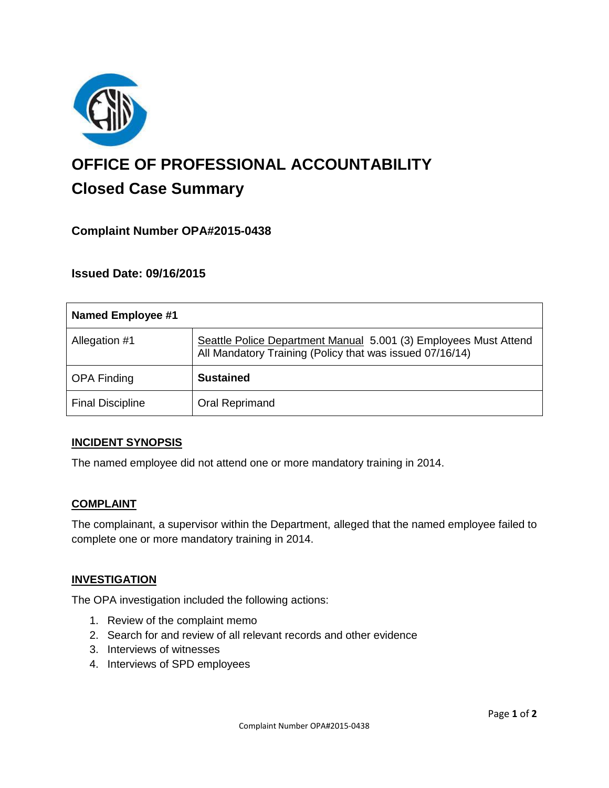

# **OFFICE OF PROFESSIONAL ACCOUNTABILITY Closed Case Summary**

# **Complaint Number OPA#2015-0438**

## **Issued Date: 09/16/2015**

| <b>Named Employee #1</b> |                                                                                                                              |
|--------------------------|------------------------------------------------------------------------------------------------------------------------------|
| Allegation #1            | Seattle Police Department Manual 5.001 (3) Employees Must Attend<br>All Mandatory Training (Policy that was issued 07/16/14) |
| <b>OPA Finding</b>       | <b>Sustained</b>                                                                                                             |
| <b>Final Discipline</b>  | Oral Reprimand                                                                                                               |

#### **INCIDENT SYNOPSIS**

The named employee did not attend one or more mandatory training in 2014.

#### **COMPLAINT**

The complainant, a supervisor within the Department, alleged that the named employee failed to complete one or more mandatory training in 2014.

#### **INVESTIGATION**

The OPA investigation included the following actions:

- 1. Review of the complaint memo
- 2. Search for and review of all relevant records and other evidence
- 3. Interviews of witnesses
- 4. Interviews of SPD employees